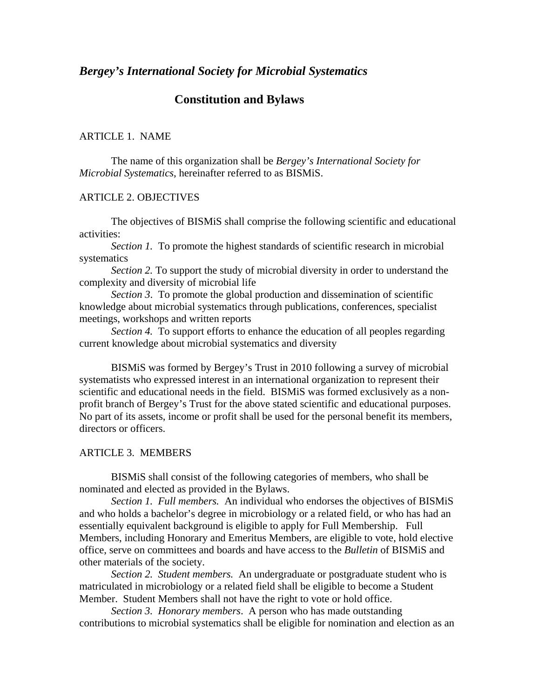# *Bergey's International Society for Microbial Systematics*

# **Constitution and Bylaws**

### ARTICLE 1. NAME

 The name of this organization shall be *Bergey's International Society for Microbial Systematics*, hereinafter referred to as BISMiS.

#### ARTICLE 2. OBJECTIVES

 The objectives of BISMiS shall comprise the following scientific and educational activities:

*Section 1.* To promote the highest standards of scientific research in microbial systematics

*Section 2.* To support the study of microbial diversity in order to understand the complexity and diversity of microbial life

*Section 3*. To promote the global production and dissemination of scientific knowledge about microbial systematics through publications, conferences, specialist meetings, workshops and written reports

*Section 4.* To support efforts to enhance the education of all peoples regarding current knowledge about microbial systematics and diversity

 BISMiS was formed by Bergey's Trust in 2010 following a survey of microbial systematists who expressed interest in an international organization to represent their scientific and educational needs in the field. BISMiS was formed exclusively as a nonprofit branch of Bergey's Trust for the above stated scientific and educational purposes. No part of its assets, income or profit shall be used for the personal benefit its members, directors or officers.

# ARTICLE 3. MEMBERS

 BISMiS shall consist of the following categories of members, who shall be nominated and elected as provided in the Bylaws.

*Section 1. Full members.* An individual who endorses the objectives of BISMiS and who holds a bachelor's degree in microbiology or a related field, or who has had an essentially equivalent background is eligible to apply for Full Membership. Full Members, including Honorary and Emeritus Members, are eligible to vote, hold elective office, serve on committees and boards and have access to the *Bulletin* of BISMiS and other materials of the society.

*Section 2. Student members.* An undergraduate or postgraduate student who is matriculated in microbiology or a related field shall be eligible to become a Student Member. Student Members shall not have the right to vote or hold office.

*Section 3. Honorary members*. A person who has made outstanding contributions to microbial systematics shall be eligible for nomination and election as an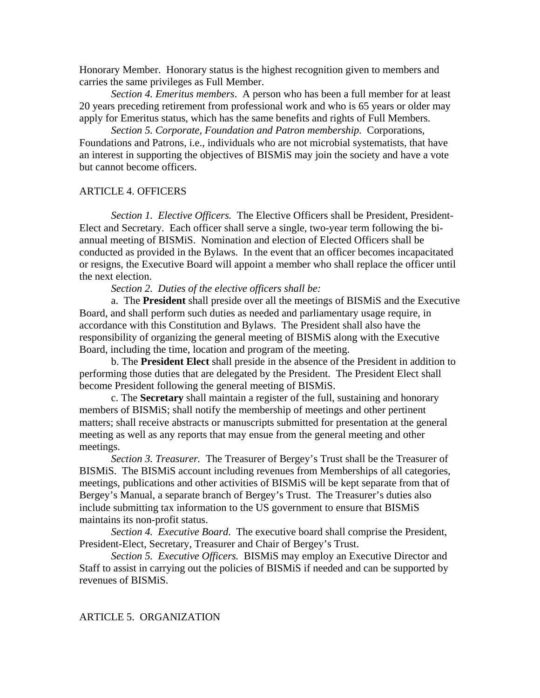Honorary Member. Honorary status is the highest recognition given to members and carries the same privileges as Full Member.

*Section 4. Emeritus members*. A person who has been a full member for at least 20 years preceding retirement from professional work and who is 65 years or older may apply for Emeritus status, which has the same benefits and rights of Full Members.

*Section 5. Corporate, Foundation and Patron membership.* Corporations, Foundations and Patrons, i.e., individuals who are not microbial systematists, that have an interest in supporting the objectives of BISMiS may join the society and have a vote but cannot become officers.

# ARTICLE 4. OFFICERS

*Section 1. Elective Officers.* The Elective Officers shall be President, President-Elect and Secretary. Each officer shall serve a single, two-year term following the biannual meeting of BISMiS. Nomination and election of Elected Officers shall be conducted as provided in the Bylaws. In the event that an officer becomes incapacitated or resigns, the Executive Board will appoint a member who shall replace the officer until the next election.

*Section 2. Duties of the elective officers shall be:* 

a. The **President** shall preside over all the meetings of BISMiS and the Executive Board, and shall perform such duties as needed and parliamentary usage require, in accordance with this Constitution and Bylaws. The President shall also have the responsibility of organizing the general meeting of BISMiS along with the Executive Board, including the time, location and program of the meeting.

 b. The **President Elect** shall preside in the absence of the President in addition to performing those duties that are delegated by the President. The President Elect shall become President following the general meeting of BISMiS.

 c. The **Secretary** shall maintain a register of the full, sustaining and honorary members of BISMiS; shall notify the membership of meetings and other pertinent matters; shall receive abstracts or manuscripts submitted for presentation at the general meeting as well as any reports that may ensue from the general meeting and other meetings.

*Section 3. Treasurer.* The Treasurer of Bergey's Trust shall be the Treasurer of BISMiS. The BISMiS account including revenues from Memberships of all categories, meetings, publications and other activities of BISMiS will be kept separate from that of Bergey's Manual, a separate branch of Bergey's Trust. The Treasurer's duties also include submitting tax information to the US government to ensure that BISMiS maintains its non-profit status.

*Section 4. Executive Board*. The executive board shall comprise the President, President-Elect, Secretary, Treasurer and Chair of Bergey's Trust.

*Section 5. Executive Officers.* BISMiS may employ an Executive Director and Staff to assist in carrying out the policies of BISMiS if needed and can be supported by revenues of BISMiS.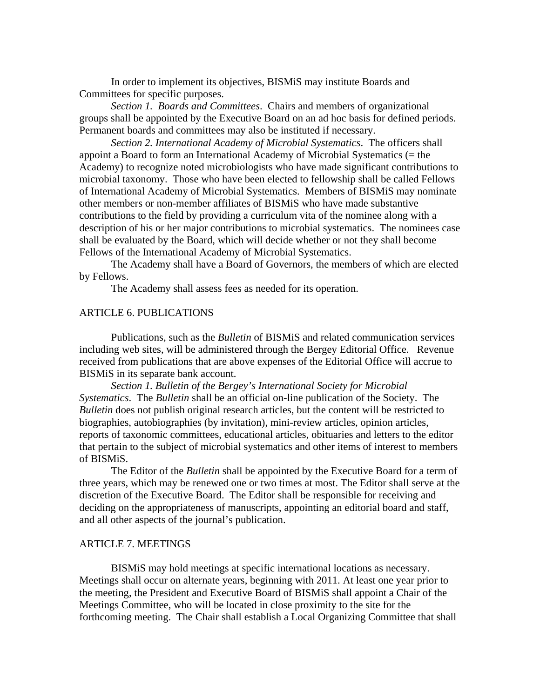In order to implement its objectives, BISMiS may institute Boards and Committees for specific purposes.

*Section 1. Boards and Committees*. Chairs and members of organizational groups shall be appointed by the Executive Board on an ad hoc basis for defined periods. Permanent boards and committees may also be instituted if necessary.

*Section 2. International Academy of Microbial Systematics*. The officers shall appoint a Board to form an International Academy of Microbial Systematics (= the Academy) to recognize noted microbiologists who have made significant contributions to microbial taxonomy. Those who have been elected to fellowship shall be called Fellows of International Academy of Microbial Systematics. Members of BISMiS may nominate other members or non-member affiliates of BISMiS who have made substantive contributions to the field by providing a curriculum vita of the nominee along with a description of his or her major contributions to microbial systematics. The nominees case shall be evaluated by the Board, which will decide whether or not they shall become Fellows of the International Academy of Microbial Systematics.

 The Academy shall have a Board of Governors, the members of which are elected by Fellows.

The Academy shall assess fees as needed for its operation.

### ARTICLE 6. PUBLICATIONS

 Publications, such as the *Bulletin* of BISMiS and related communication services including web sites, will be administered through the Bergey Editorial Office. Revenue received from publications that are above expenses of the Editorial Office will accrue to BISMiS in its separate bank account.

*Section 1. Bulletin of the Bergey's International Society for Microbial Systematics*. The *Bulletin* shall be an official on-line publication of the Society. The *Bulletin* does not publish original research articles, but the content will be restricted to biographies, autobiographies (by invitation), mini-review articles, opinion articles, reports of taxonomic committees, educational articles, obituaries and letters to the editor that pertain to the subject of microbial systematics and other items of interest to members of BISMiS.

The Editor of the *Bulletin* shall be appointed by the Executive Board for a term of three years, which may be renewed one or two times at most. The Editor shall serve at the discretion of the Executive Board. The Editor shall be responsible for receiving and deciding on the appropriateness of manuscripts, appointing an editorial board and staff, and all other aspects of the journal's publication.

# ARTICLE 7. MEETINGS

 BISMiS may hold meetings at specific international locations as necessary. Meetings shall occur on alternate years, beginning with 2011. At least one year prior to the meeting, the President and Executive Board of BISMiS shall appoint a Chair of the Meetings Committee, who will be located in close proximity to the site for the forthcoming meeting. The Chair shall establish a Local Organizing Committee that shall